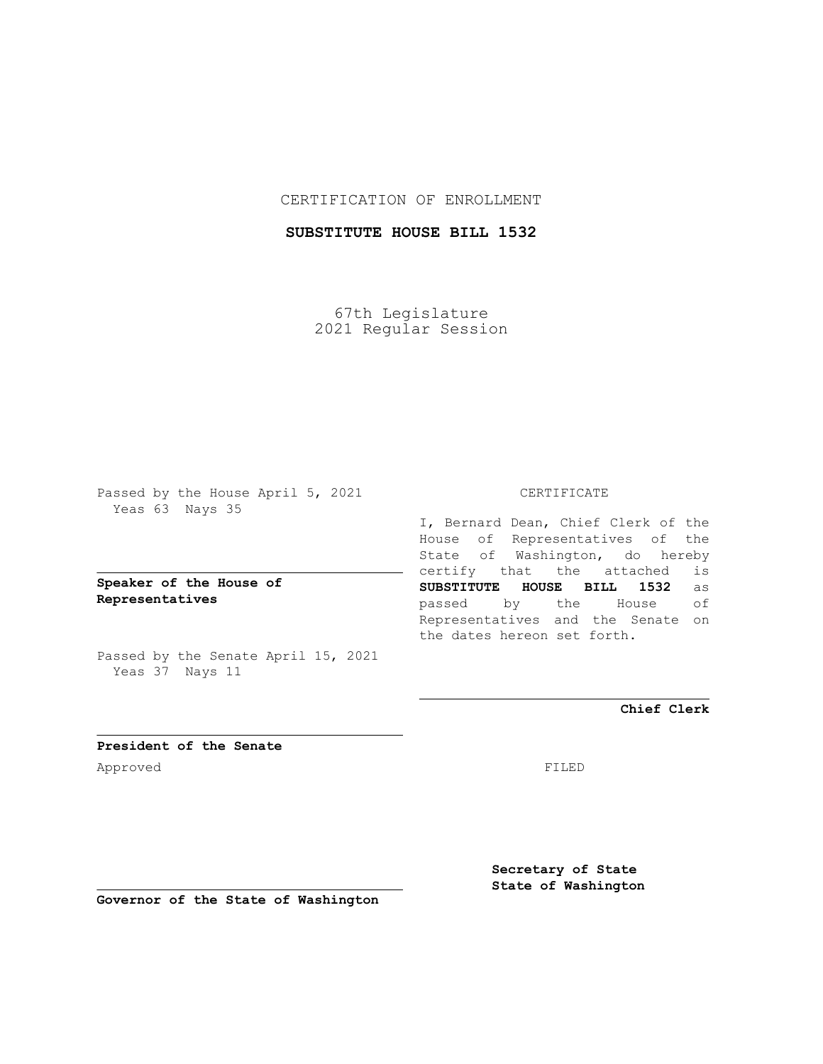## CERTIFICATION OF ENROLLMENT

# **SUBSTITUTE HOUSE BILL 1532**

67th Legislature 2021 Regular Session

Passed by the House April 5, 2021 Yeas 63 Nays 35

## **Speaker of the House of Representatives**

Passed by the Senate April 15, 2021 Yeas 37 Nays 11

#### CERTIFICATE

I, Bernard Dean, Chief Clerk of the House of Representatives of the State of Washington, do hereby certify that the attached is **SUBSTITUTE HOUSE BILL 1532** as passed by the House of Representatives and the Senate on the dates hereon set forth.

**Chief Clerk**

**President of the Senate** Approved FILED

**Secretary of State State of Washington**

**Governor of the State of Washington**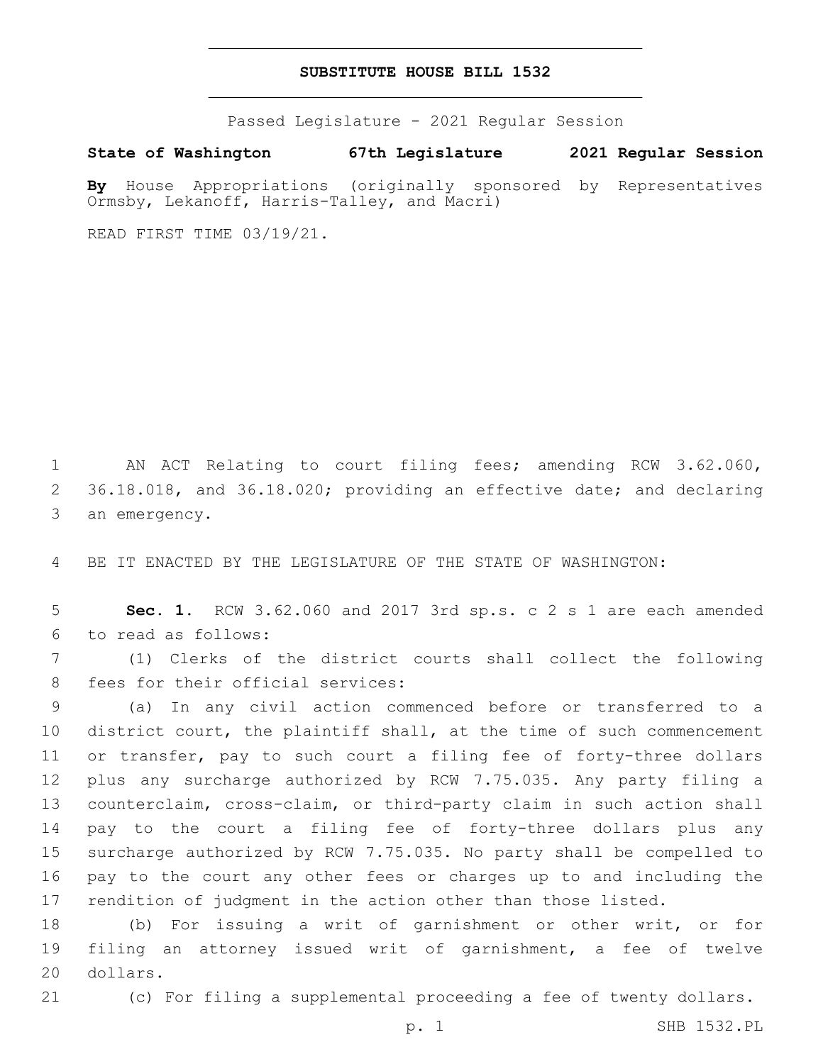#### **SUBSTITUTE HOUSE BILL 1532**

Passed Legislature - 2021 Regular Session

**State of Washington 67th Legislature 2021 Regular Session**

**By** House Appropriations (originally sponsored by Representatives Ormsby, Lekanoff, Harris-Talley, and Macri)

READ FIRST TIME 03/19/21.

 AN ACT Relating to court filing fees; amending RCW 3.62.060, 36.18.018, and 36.18.020; providing an effective date; and declaring 3 an emergency.

BE IT ENACTED BY THE LEGISLATURE OF THE STATE OF WASHINGTON:

 **Sec. 1.** RCW 3.62.060 and 2017 3rd sp.s. c 2 s 1 are each amended to read as follows:6

 (1) Clerks of the district courts shall collect the following 8 fees for their official services:

 (a) In any civil action commenced before or transferred to a district court, the plaintiff shall, at the time of such commencement or transfer, pay to such court a filing fee of forty-three dollars plus any surcharge authorized by RCW 7.75.035. Any party filing a counterclaim, cross-claim, or third-party claim in such action shall pay to the court a filing fee of forty-three dollars plus any surcharge authorized by RCW 7.75.035. No party shall be compelled to pay to the court any other fees or charges up to and including the rendition of judgment in the action other than those listed.

 (b) For issuing a writ of garnishment or other writ, or for filing an attorney issued writ of garnishment, a fee of twelve 20 dollars.

(c) For filing a supplemental proceeding a fee of twenty dollars.

p. 1 SHB 1532.PL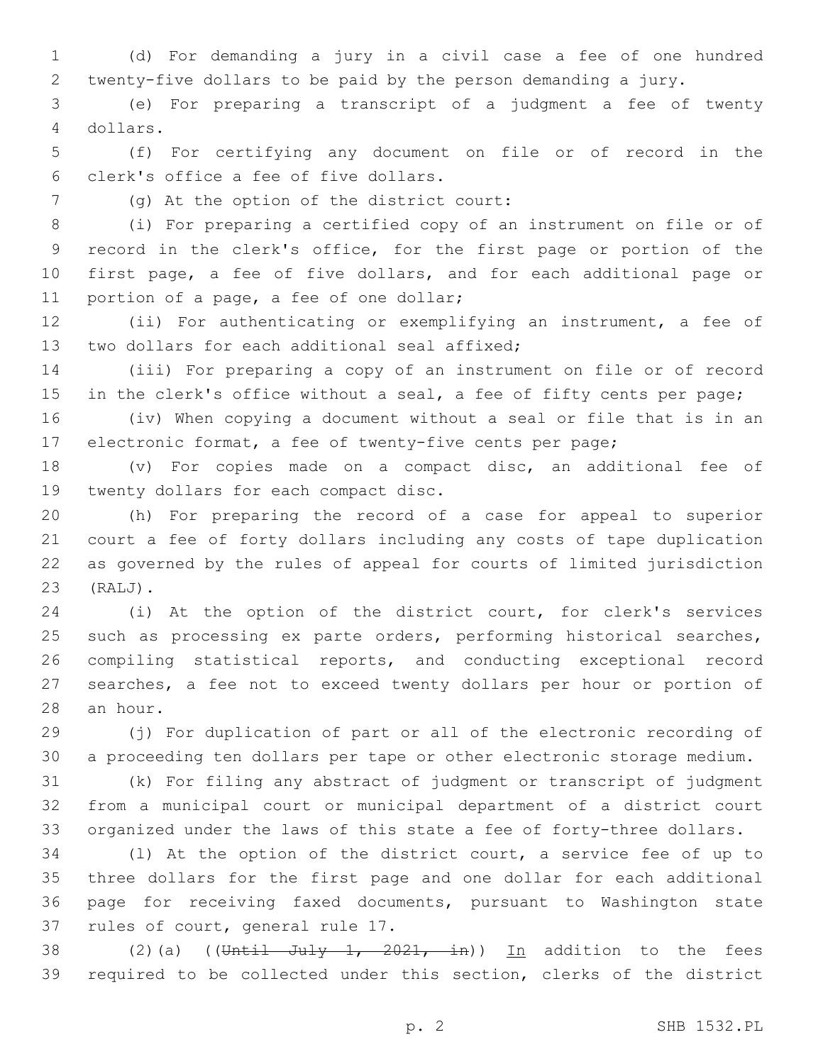(d) For demanding a jury in a civil case a fee of one hundred twenty-five dollars to be paid by the person demanding a jury.

 (e) For preparing a transcript of a judgment a fee of twenty dollars.4

 (f) For certifying any document on file or of record in the clerk's office a fee of five dollars.6

(g) At the option of the district court:7

 (i) For preparing a certified copy of an instrument on file or of record in the clerk's office, for the first page or portion of the first page, a fee of five dollars, and for each additional page or 11 portion of a page, a fee of one dollar;

 (ii) For authenticating or exemplifying an instrument, a fee of 13 two dollars for each additional seal affixed;

 (iii) For preparing a copy of an instrument on file or of record 15 in the clerk's office without a seal, a fee of fifty cents per page;

 (iv) When copying a document without a seal or file that is in an electronic format, a fee of twenty-five cents per page;

 (v) For copies made on a compact disc, an additional fee of 19 twenty dollars for each compact disc.

 (h) For preparing the record of a case for appeal to superior court a fee of forty dollars including any costs of tape duplication as governed by the rules of appeal for courts of limited jurisdiction (RALJ).23

 (i) At the option of the district court, for clerk's services 25 such as processing ex parte orders, performing historical searches, compiling statistical reports, and conducting exceptional record searches, a fee not to exceed twenty dollars per hour or portion of 28 an hour.

 (j) For duplication of part or all of the electronic recording of a proceeding ten dollars per tape or other electronic storage medium.

 (k) For filing any abstract of judgment or transcript of judgment from a municipal court or municipal department of a district court organized under the laws of this state a fee of forty-three dollars.

 (l) At the option of the district court, a service fee of up to three dollars for the first page and one dollar for each additional page for receiving faxed documents, pursuant to Washington state 37 rules of court, general rule 17.

38 (2)(a) ((Until July 1, 2021, in)) In addition to the fees required to be collected under this section, clerks of the district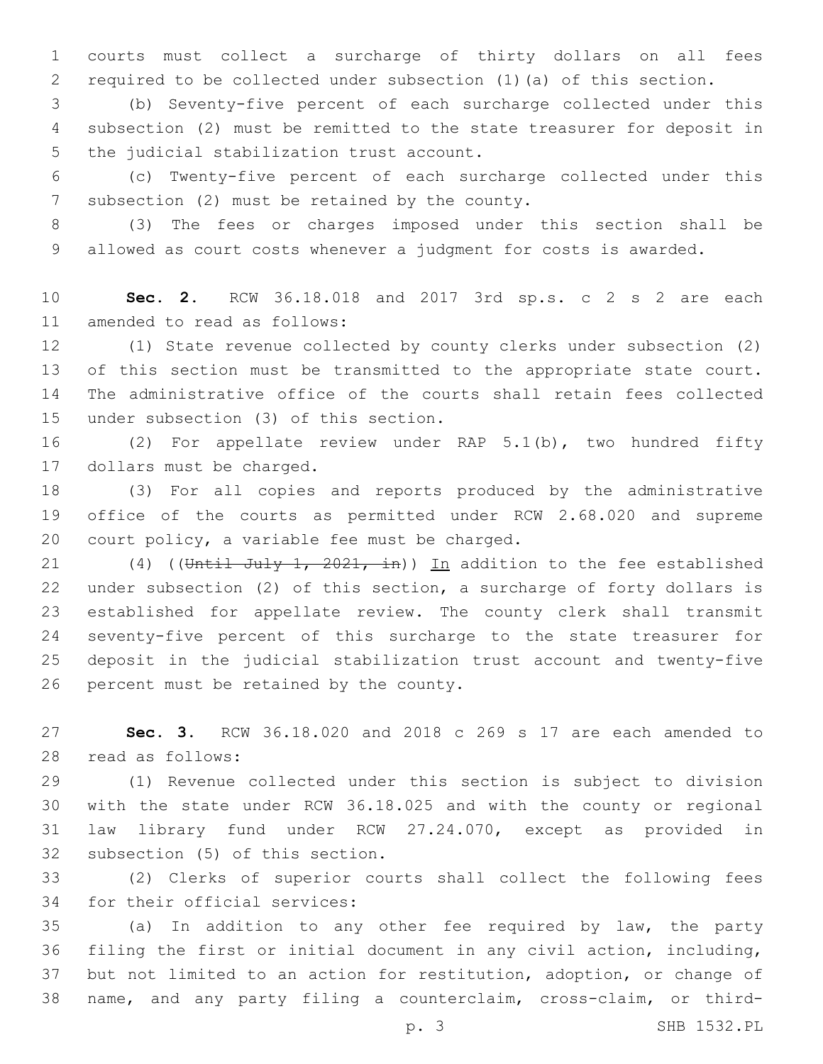courts must collect a surcharge of thirty dollars on all fees required to be collected under subsection (1)(a) of this section.

 (b) Seventy-five percent of each surcharge collected under this subsection (2) must be remitted to the state treasurer for deposit in 5 the judicial stabilization trust account.

 (c) Twenty-five percent of each surcharge collected under this 7 subsection (2) must be retained by the county.

 (3) The fees or charges imposed under this section shall be allowed as court costs whenever a judgment for costs is awarded.

 **Sec. 2.** RCW 36.18.018 and 2017 3rd sp.s. c 2 s 2 are each 11 amended to read as follows:

 (1) State revenue collected by county clerks under subsection (2) of this section must be transmitted to the appropriate state court. The administrative office of the courts shall retain fees collected 15 under subsection (3) of this section.

 (2) For appellate review under RAP 5.1(b), two hundred fifty 17 dollars must be charged.

 (3) For all copies and reports produced by the administrative office of the courts as permitted under RCW 2.68.020 and supreme 20 court policy, a variable fee must be charged.

21 (4) ((Until July 1, 2021, in)) In addition to the fee established under subsection (2) of this section, a surcharge of forty dollars is established for appellate review. The county clerk shall transmit seventy-five percent of this surcharge to the state treasurer for deposit in the judicial stabilization trust account and twenty-five 26 percent must be retained by the county.

 **Sec. 3.** RCW 36.18.020 and 2018 c 269 s 17 are each amended to 28 read as follows:

 (1) Revenue collected under this section is subject to division with the state under RCW 36.18.025 and with the county or regional law library fund under RCW 27.24.070, except as provided in 32 subsection (5) of this section.

 (2) Clerks of superior courts shall collect the following fees 34 for their official services:

 (a) In addition to any other fee required by law, the party filing the first or initial document in any civil action, including, but not limited to an action for restitution, adoption, or change of name, and any party filing a counterclaim, cross-claim, or third-

p. 3 SHB 1532.PL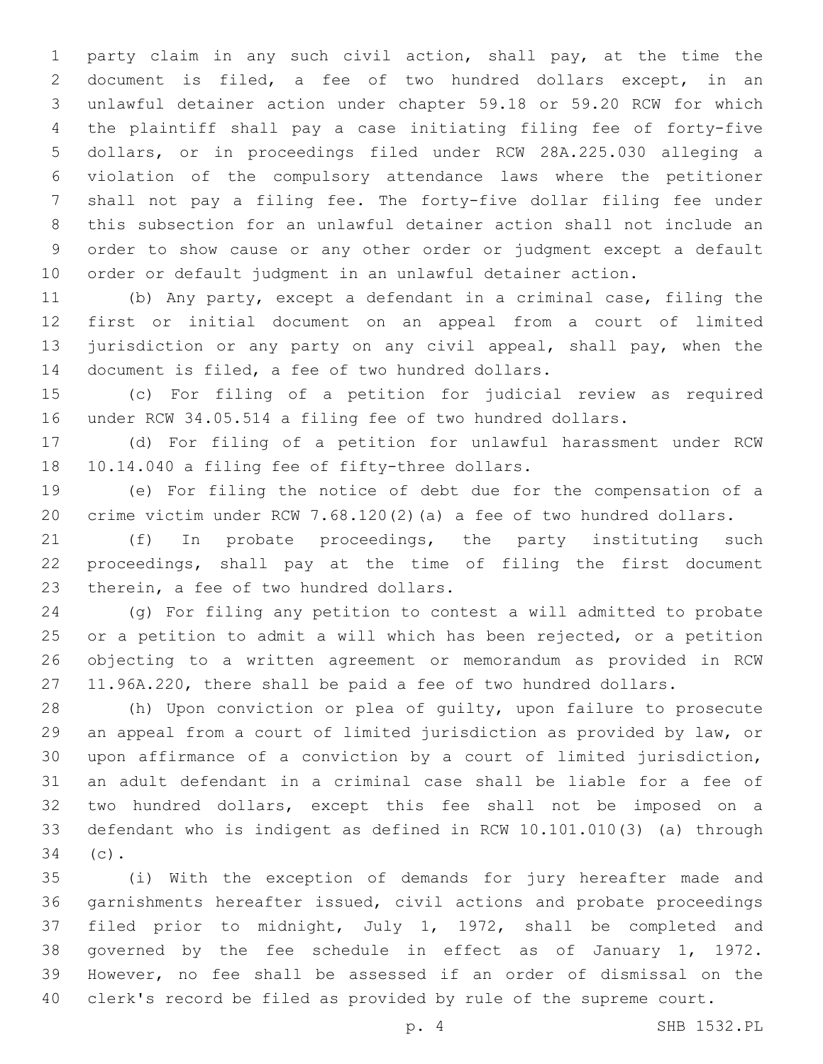party claim in any such civil action, shall pay, at the time the document is filed, a fee of two hundred dollars except, in an unlawful detainer action under chapter 59.18 or 59.20 RCW for which the plaintiff shall pay a case initiating filing fee of forty-five dollars, or in proceedings filed under RCW 28A.225.030 alleging a violation of the compulsory attendance laws where the petitioner shall not pay a filing fee. The forty-five dollar filing fee under this subsection for an unlawful detainer action shall not include an order to show cause or any other order or judgment except a default order or default judgment in an unlawful detainer action.

 (b) Any party, except a defendant in a criminal case, filing the first or initial document on an appeal from a court of limited 13 jurisdiction or any party on any civil appeal, shall pay, when the 14 document is filed, a fee of two hundred dollars.

 (c) For filing of a petition for judicial review as required under RCW 34.05.514 a filing fee of two hundred dollars.

 (d) For filing of a petition for unlawful harassment under RCW 18 10.14.040 a filing fee of fifty-three dollars.

 (e) For filing the notice of debt due for the compensation of a crime victim under RCW 7.68.120(2)(a) a fee of two hundred dollars.

 (f) In probate proceedings, the party instituting such proceedings, shall pay at the time of filing the first document 23 therein, a fee of two hundred dollars.

 (g) For filing any petition to contest a will admitted to probate or a petition to admit a will which has been rejected, or a petition objecting to a written agreement or memorandum as provided in RCW 11.96A.220, there shall be paid a fee of two hundred dollars.

 (h) Upon conviction or plea of guilty, upon failure to prosecute an appeal from a court of limited jurisdiction as provided by law, or upon affirmance of a conviction by a court of limited jurisdiction, an adult defendant in a criminal case shall be liable for a fee of two hundred dollars, except this fee shall not be imposed on a defendant who is indigent as defined in RCW 10.101.010(3) (a) through 34 (c).

 (i) With the exception of demands for jury hereafter made and garnishments hereafter issued, civil actions and probate proceedings filed prior to midnight, July 1, 1972, shall be completed and governed by the fee schedule in effect as of January 1, 1972. However, no fee shall be assessed if an order of dismissal on the clerk's record be filed as provided by rule of the supreme court.